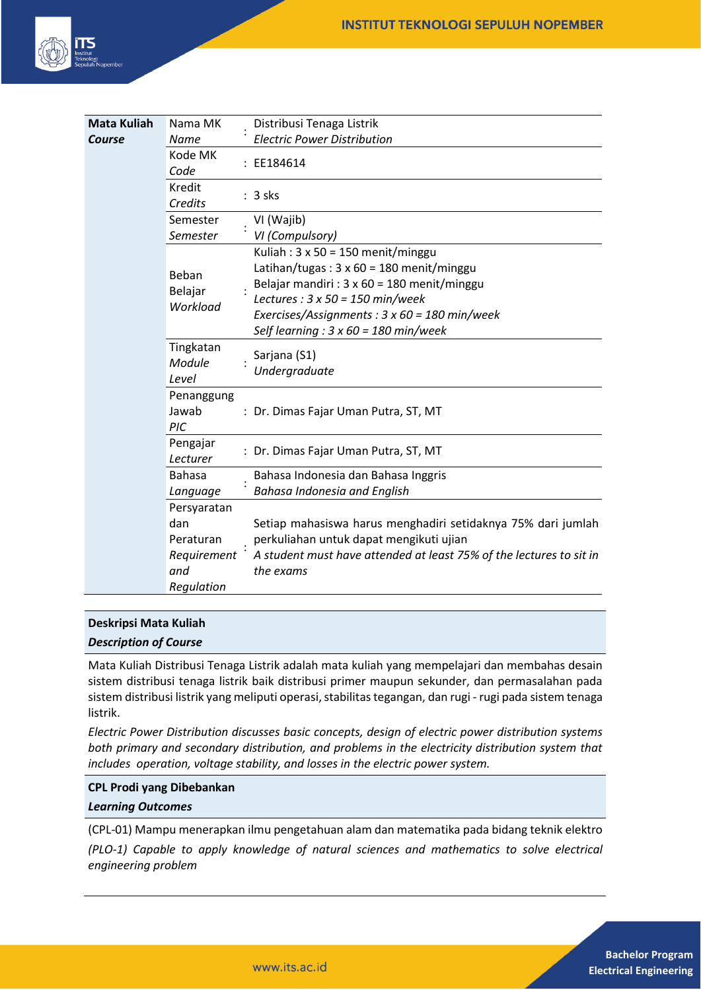

| <b>Mata Kuliah</b> | Nama MK                      | Distribusi Tenaga Listrik                                                        |
|--------------------|------------------------------|----------------------------------------------------------------------------------|
| Course             | Name                         | <b>Electric Power Distribution</b>                                               |
|                    | Kode MK<br>Code              | : EE184614                                                                       |
|                    | Kredit<br>Credits            | $: 3$ sks                                                                        |
|                    | Semester                     | VI (Wajib)                                                                       |
|                    | Semester                     | VI (Compulsory)                                                                  |
|                    | Beban<br>Belajar<br>Workload | Kuliah: $3 \times 50 = 150$ menit/minggu                                         |
|                    |                              | Latihan/tugas: $3 \times 60 = 180$ menit/minggu                                  |
|                    |                              | Belajar mandiri : $3 \times 60 = 180$ menit/minggu                               |
|                    |                              | Lectures: $3 \times 50 = 150$ min/week                                           |
|                    |                              | Exercises/Assignments : $3 \times 60 = 180$ min/week                             |
|                    |                              | Self learning : $3 \times 60 = 180$ min/week                                     |
|                    | Tingkatan<br>Module<br>Level | Sarjana (S1)<br>Undergraduate                                                    |
|                    | Penanggung<br>Jawab<br>PIC   | : Dr. Dimas Fajar Uman Putra, ST, MT                                             |
|                    | Pengajar<br>Lecturer         | : Dr. Dimas Fajar Uman Putra, ST, MT                                             |
|                    | <b>Bahasa</b>                | Bahasa Indonesia dan Bahasa Inggris                                              |
|                    | Language                     | Bahasa Indonesia and English                                                     |
|                    | Persyaratan                  |                                                                                  |
|                    | dan                          | Setiap mahasiswa harus menghadiri setidaknya 75% dari jumlah                     |
|                    | Peraturan                    | perkuliahan untuk dapat mengikuti ujian                                          |
|                    | Requirement<br>and           | A student must have attended at least 75% of the lectures to sit in<br>the exams |
|                    | Regulation                   |                                                                                  |

# **Deskripsi Mata Kuliah**

*Description of Course*

Mata Kuliah Distribusi Tenaga Listrik adalah mata kuliah yang mempelajari dan membahas desain sistem distribusi tenaga listrik baik distribusi primer maupun sekunder, dan permasalahan pada sistem distribusi listrik yang meliputi operasi, stabilitas tegangan, dan rugi - rugi pada sistem tenaga listrik.

*Electric Power Distribution discusses basic concepts, design of electric power distribution systems both primary and secondary distribution, and problems in the electricity distribution system that includes operation, voltage stability, and losses in the electric power system.*

### **CPL Prodi yang Dibebankan**

### *Learning Outcomes*

(CPL-01) Mampu menerapkan ilmu pengetahuan alam dan matematika pada bidang teknik elektro *(PLO-1) Capable to apply knowledge of natural sciences and mathematics to solve electrical engineering problem*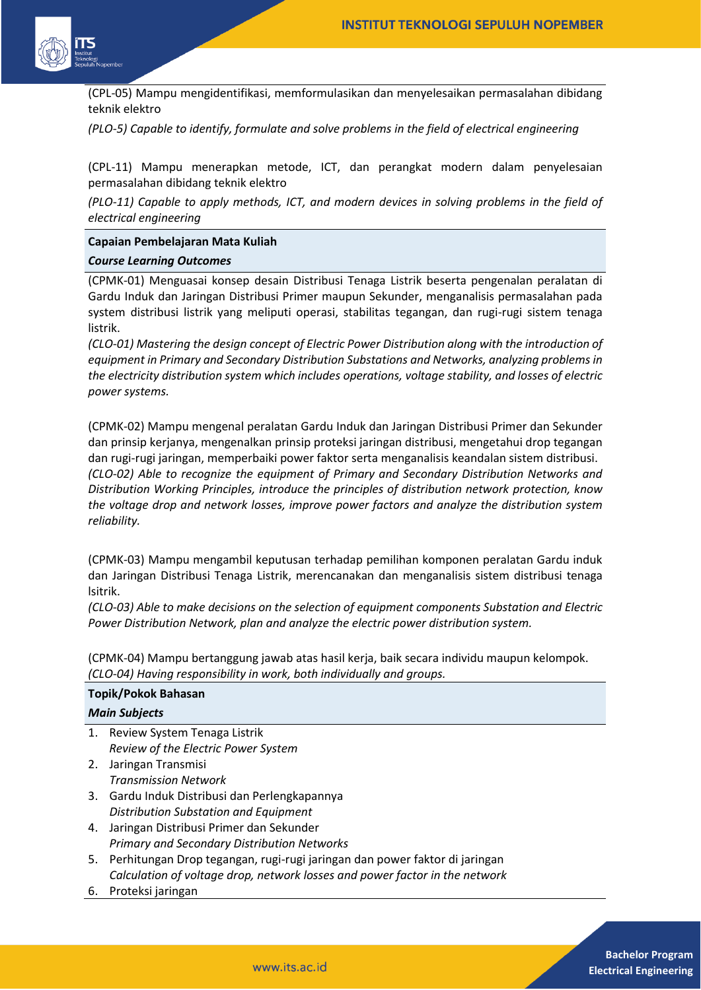

(CPL-05) Mampu mengidentifikasi, memformulasikan dan menyelesaikan permasalahan dibidang teknik elektro

*(PLO-5) Capable to identify, formulate and solve problems in the field of electrical engineering* 

(CPL-11) Mampu menerapkan metode, ICT, dan perangkat modern dalam penyelesaian permasalahan dibidang teknik elektro

*(PLO-11) Capable to apply methods, ICT, and modern devices in solving problems in the field of electrical engineering*

#### **Capaian Pembelajaran Mata Kuliah**

#### *Course Learning Outcomes*

(CPMK-01) Menguasai konsep desain Distribusi Tenaga Listrik beserta pengenalan peralatan di Gardu Induk dan Jaringan Distribusi Primer maupun Sekunder, menganalisis permasalahan pada system distribusi listrik yang meliputi operasi, stabilitas tegangan, dan rugi-rugi sistem tenaga listrik.

*(CLO-01) Mastering the design concept of Electric Power Distribution along with the introduction of equipment in Primary and Secondary Distribution Substations and Networks, analyzing problems in the electricity distribution system which includes operations, voltage stability, and losses of electric power systems.*

(CPMK-02) Mampu mengenal peralatan Gardu Induk dan Jaringan Distribusi Primer dan Sekunder dan prinsip kerjanya, mengenalkan prinsip proteksi jaringan distribusi, mengetahui drop tegangan dan rugi-rugi jaringan, memperbaiki power faktor serta menganalisis keandalan sistem distribusi. *(CLO-02) Able to recognize the equipment of Primary and Secondary Distribution Networks and Distribution Working Principles, introduce the principles of distribution network protection, know the voltage drop and network losses, improve power factors and analyze the distribution system reliability.*

(CPMK-03) Mampu mengambil keputusan terhadap pemilihan komponen peralatan Gardu induk dan Jaringan Distribusi Tenaga Listrik, merencanakan dan menganalisis sistem distribusi tenaga lsitrik.

*(CLO-03) Able to make decisions on the selection of equipment components Substation and Electric Power Distribution Network, plan and analyze the electric power distribution system.*

(CPMK-04) Mampu bertanggung jawab atas hasil kerja, baik secara individu maupun kelompok. *(CLO-04) Having responsibility in work, both individually and groups.*

| <b>Topik/Pokok Bahasan</b> |                                                                             |  |  |  |
|----------------------------|-----------------------------------------------------------------------------|--|--|--|
| <b>Main Subjects</b>       |                                                                             |  |  |  |
|                            | 1. Review System Tenaga Listrik                                             |  |  |  |
|                            | Review of the Electric Power System                                         |  |  |  |
| 2.                         | Jaringan Transmisi                                                          |  |  |  |
|                            | Transmission Network                                                        |  |  |  |
|                            | 3. Gardu Induk Distribusi dan Perlengkapannya                               |  |  |  |
|                            | Distribution Substation and Equipment                                       |  |  |  |
|                            | 4. Jaringan Distribusi Primer dan Sekunder                                  |  |  |  |
|                            | <b>Primary and Secondary Distribution Networks</b>                          |  |  |  |
| 5.                         | Perhitungan Drop tegangan, rugi-rugi jaringan dan power faktor di jaringan  |  |  |  |
|                            | Calculation of voltage drop, network losses and power factor in the network |  |  |  |

6. Proteksi jaringan